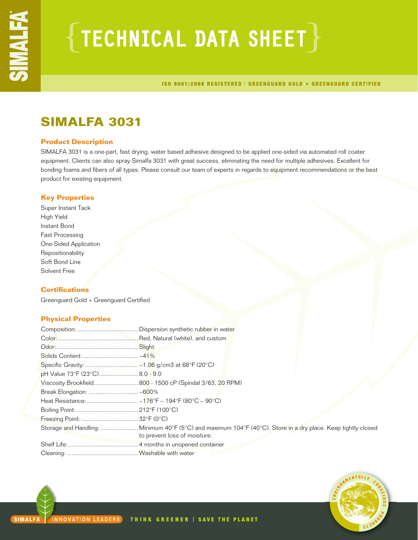# $\{$  TECHNICAL DATA SHEET  $\}$

ISO 9001:2008 REGISTERED | GREENGUARD GOLD + GREENGUARD CERTIFIED

## **SIMALFA 3031**

## **Product Description**

SIMALFA 3031 is a one-part, fast drying, water based adhesive designed to be applied one-sided via automated roll coater equipment. Clients can also spray Simalfa 3031 with great success, eliminating the need for multiple adhesives. Excellent for bonding foams and fibers of all types. Please consult our team of experts in regards to equipment recommendations or the best product for existing equipment.

## **Key Properties**

Super Instant Tack High Yield Instant Bond Fast Processing One-Sided Application Repositionability Soft Bond Line Solvent Free

## **Certifications**

Greenguard Gold + Greenguard Certified

## **Physical Properties**

| pH Value 73°F (23°C) 8.0 - 9.0 |                                                                                                                                               |
|--------------------------------|-----------------------------------------------------------------------------------------------------------------------------------------------|
|                                | Viscosity Brookfield 800 - 1500 cP (Spindal 3/63, 20 RPM)                                                                                     |
|                                |                                                                                                                                               |
|                                |                                                                                                                                               |
|                                |                                                                                                                                               |
|                                |                                                                                                                                               |
|                                | Storage and Handling:  Minimum 40°F (5°C) and maximum 104°F (40°C). Store in a dry place. Keep tightly closed<br>to prevent loss of moisture. |
|                                |                                                                                                                                               |
|                                |                                                                                                                                               |

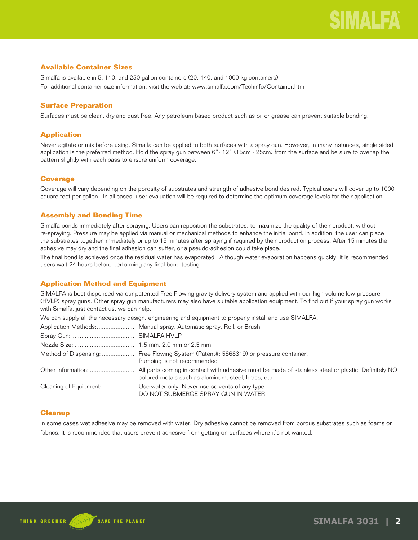## **Available Container Sizes**

Simalfa is available in 5, 110, and 250 gallon containers (20, 440, and 1000 kg containers). For additional container size information, visit the web at: www.simalfa.com/Techinfo/Container.htm

## **Surface Preparation**

Surfaces must be clean, dry and dust free. Any petroleum based product such as oil or grease can prevent suitable bonding.

## **Application**

Never agitate or mix before using. Simalfa can be applied to both surfaces with a spray gun. However, in many instances, single sided application is the preferred method. Hold the spray gun between 6"- 12" (15cm - 25cm) from the surface and be sure to overlap the pattern slightly with each pass to ensure uniform coverage.

## **Coverage**

Coverage will vary depending on the porosity of substrates and strength of adhesive bond desired. Typical users will cover up to 1000 square feet per gallon. In all cases, user evaluation will be required to determine the optimum coverage levels for their application.

## **Assembly and Bonding Time**

Simalfa bonds immediately after spraying. Users can reposition the substrates, to maximize the quality of their product, without re-spraying. Pressure may be applied via manual or mechanical methods to enhance the initial bond. In addition, the user can place the substrates together immediately or up to 15 minutes after spraying if required by their production process. After 15 minutes the adhesive may dry and the final adhesion can suffer, or a pseudo-adhesion could take place.

The final bond is achieved once the residual water has evaporated. Although water evaporation happens quickly, it is recommended users wait 24 hours before performing any final bond testing.

## **Application Method and Equipment**

SIMALFA is best dispensed via our patented Free Flowing gravity delivery system and applied with our high volume low-pressure (HVLP) spray guns. Other spray gun manufacturers may also have suitable application equipment. To find out if your spray gun works with Simalfa, just contact us, we can help.

We can supply all the necessary design, engineering and equipment to properly install and use SIMALFA.

| Method of Dispensing:  Free Flowing System (Patent#: 5868319) or pressure container.<br>Pumping is not recommended |
|--------------------------------------------------------------------------------------------------------------------|
| colored metals such as aluminum, steel, brass, etc.                                                                |
| Cleaning of Equipment: Use water only. Never use solvents of any type.<br>DO NOT SUBMERGE SPRAY GUN IN WATER       |

## **Cleanup**

In some cases wet adhesive may be removed with water. Dry adhesive cannot be removed from porous substrates such as foams or fabrics. It is recommended that users prevent adhesive from getting on surfaces where it's not wanted.

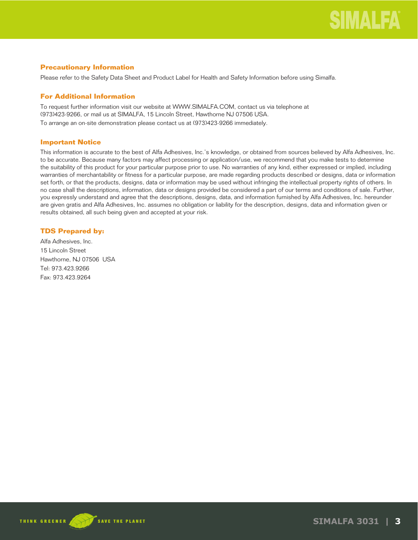## **Precautionary Information**

Please refer to the Safety Data Sheet and Product Label for Health and Safety Information before using Simalfa.

## **For Additional Information**

To request further information visit our website at WWW.SIMALFA.COM, contact us via telephone at (973)423-9266, or mail us at SIMALFA, 15 Lincoln Street, Hawthorne NJ 07506 USA.

To arrange an on-site demonstration please contact us at (973)423-9266 immediately.

## **Important Notice**

This information is accurate to the best of Alfa Adhesives, Inc.'s knowledge, or obtained from sources believed by Alfa Adhesives, Inc. to be accurate. Because many factors may affect processing or application/use, we recommend that you make tests to determine the suitability of this product for your particular purpose prior to use. No warranties of any kind, either expressed or implied, including warranties of merchantability or fitness for a particular purpose, are made regarding products described or designs, data or information set forth, or that the products, designs, data or information may be used without infringing the intellectual property rights of others. In no case shall the descriptions, information, data or designs provided be considered a part of our terms and conditions of sale. Further, you expressly understand and agree that the descriptions, designs, data, and information furnished by Alfa Adhesives, Inc. hereunder are given gratis and Alfa Adhesives, Inc. assumes no obligation or liability for the description, designs, data and information given or results obtained, all such being given and accepted at your risk.

## **TDS Prepared by:**

Alfa Adhesives, Inc. 15 Lincoln Street Hawthorne, NJ 07506 USA Tel: 973.423.9266 Fax: 973.423.9264



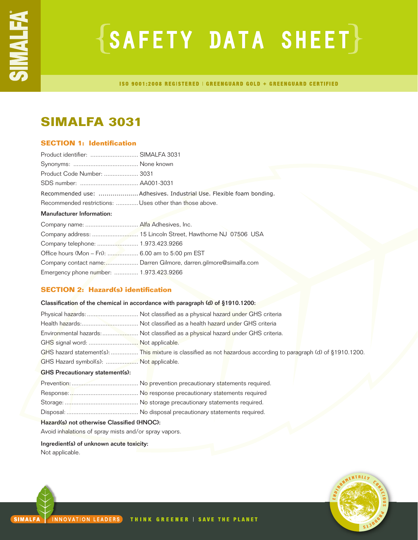# $\{SAFFITY$  DATA SHEET $\}$

**ISO 9001:2008 REGISTERED | GREENGUARD GOLD + GREENGUARD CERTIFIED** 

## **SIMALFA 3031**

## **SECTION 1: Identification**

| Product identifier:  SIMALFA 3031                       |                                                                     |
|---------------------------------------------------------|---------------------------------------------------------------------|
|                                                         |                                                                     |
| Product Code Number:  3031                              |                                                                     |
|                                                         |                                                                     |
|                                                         | Recommended use:  Adhesives. Industrial Use. Flexible foam bonding. |
| Recommended restrictions:  Uses other than those above. |                                                                     |
| <b>Manufacturer Information:</b>                        |                                                                     |
|                                                         |                                                                     |
|                                                         |                                                                     |
|                                                         |                                                                     |
| Office hours (Mon - Fri):  6.00 am to 5:00 pm EST       |                                                                     |
|                                                         | Company contact name: Darren Gilmore, darren.gilmore@simalfa.com    |
| Emergency phone number:  1.973.423.9266                 |                                                                     |

## **SECTION 2: Hazard(s) identification**

| Classification of the chemical in accordance with paragraph (d) of §1910.1200: |                                                                                                                 |  |
|--------------------------------------------------------------------------------|-----------------------------------------------------------------------------------------------------------------|--|
|                                                                                | Physical hazards:  Not classified as a physical hazard under GHS criteria                                       |  |
|                                                                                |                                                                                                                 |  |
|                                                                                | Environmental hazards:  Not classified as a physical hazard under GHS criteria.                                 |  |
| GHS signal word:  Not applicable.                                              |                                                                                                                 |  |
|                                                                                | GHS hazard statement(s):  This mixture is classified as not hazardous according to paragraph (d) of §1910.1200. |  |
| GHS Hazard symbol(s):  Not applicable.                                         |                                                                                                                 |  |
| <b>GHS Precautionary statement(s):</b>                                         |                                                                                                                 |  |
|                                                                                |                                                                                                                 |  |
|                                                                                |                                                                                                                 |  |
|                                                                                |                                                                                                                 |  |

Disposal: .......................................... No disposal precautionary statements required.

## Hazard(s) not otherwise Classified (HNOC):

Avoid inhalations of spray mists and/or spray vapors.

Ingredient(s) of unknown acute toxicity: Not applicable.

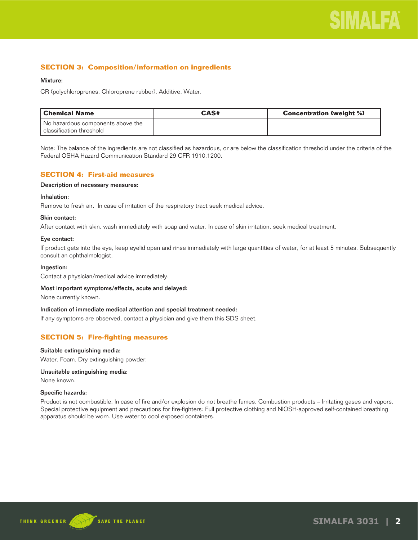## **SECTION 3: Composition/information on ingredients**

## Mixture:

CR (polychloroprenes, Chloroprene rubber), Additive, Water.

| l Chemical Name                   | CAS# | <b>Concentration (weight %)</b> |
|-----------------------------------|------|---------------------------------|
| No hazardous components above the |      |                                 |
| l classification threshold        |      |                                 |

Note: The balance of the ingredients are not classified as hazardous, or are below the classification threshold under the criteria of the Federal OSHA Hazard Communication Standard 29 CFR 1910.1200.

## **SECTION 4: First-aid measures**

## Description of necessary measures:

## Inhalation:

Remove to fresh air. In case of irritation of the respiratory tract seek medical advice.

## Skin contact:

After contact with skin, wash immediately with soap and water. In case of skin irritation, seek medical treatment.

## Eye contact:

If product gets into the eye, keep eyelid open and rinse immediately with large quantities of water, for at least 5 minutes. Subsequently consult an ophthalmologist.

#### Ingestion:

Contact a physician/medical advice immediately.

#### Most important symptoms/effects, acute and delayed:

None currently known.

#### Indication of immediate medical attention and special treatment needed:

If any symptoms are observed, contact a physician and give them this SDS sheet.

## **SECTION 5: Fire-fighting measures**

#### Suitable extinguishing media:

Water. Foam. Dry extinguishing powder.

## Unsuitable extinguishing media:

None known.

#### Specific hazards:

Product is not combustible. In case of fire and/or explosion do not breathe fumes. Combustion products – Irritating gases and vapors. Special protective equipment and precautions for fire-fighters: Full protective clothing and NIOSH-approved self-contained breathing apparatus should be worn. Use water to cool exposed containers.

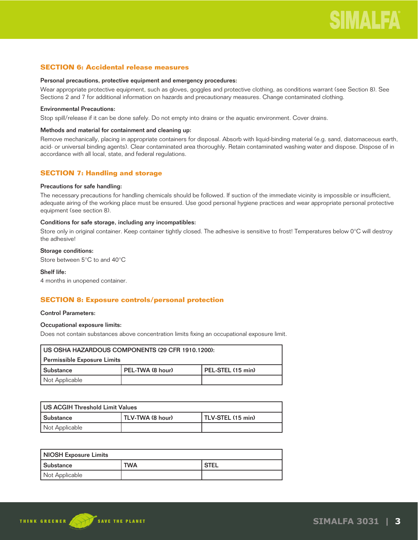## **SECTION 6: Accidental release measures**

#### Personal precautions, protective equipment and emergency procedures:

Wear appropriate protective equipment, such as gloves, goggles and protective clothing, as conditions warrant (see Section 8). See Sections 2 and 7 for additional information on hazards and precautionary measures. Change contaminated clothing.

## Environmental Precautions:

Stop spill/release if it can be done safely. Do not empty into drains or the aquatic environment. Cover drains.

## Methods and material for containment and cleaning up:

Remove mechanically, placing in appropriate containers for disposal. Absorb with liquid-binding material (e.g. sand, diatomaceous earth, acid- or universal binding agents). Clear contaminated area thoroughly. Retain contaminated washing water and dispose. Dispose of in accordance with all local, state, and federal regulations.

## **SECTION 7: Handling and storage**

#### Precautions for safe handling:

The necessary precautions for handling chemicals should be followed. If suction of the immediate vicinity is impossible or insufficient, adequate airing of the working place must be ensured. Use good personal hygiene practices and wear appropriate personal protective equipment (see section 8).

#### Conditions for safe storage, including any incompatibles:

Store only in original container. Keep container tightly closed. The adhesive is sensitive to frost! Temperatures below 0°C will destroy the adhesive!

## Storage conditions:

Store between 5°C to and 40°C

## Shelf life:

4 months in unopened container.

## **SECTION 8: Exposure controls/personal protection**

#### Control Parameters:

## Occupational exposure limits:

Does not contain substances above concentration limits fixing an occupational exposure limit.

| US OSHA HAZARDOUS COMPONENTS (29 CFR 1910.1200): |                  |                   |  |
|--------------------------------------------------|------------------|-------------------|--|
| Permissible Exposure Limits                      |                  |                   |  |
| l Substance                                      | PEL-TWA (8 hour) | PEL-STEL (15 min) |  |
| Not Applicable                                   |                  |                   |  |

| US ACGIH Threshold Limit Values |                  |                   |  |
|---------------------------------|------------------|-------------------|--|
| Substance                       | TLV-TWA (8 hour) | TLV-STEL (15 min) |  |
| Not Applicable                  |                  |                   |  |

| <b>NIOSH Exposure Limits</b> |            |        |
|------------------------------|------------|--------|
| <b>Substance</b>             | <b>TWA</b> | ' STEL |
| Not Applicable               |            |        |

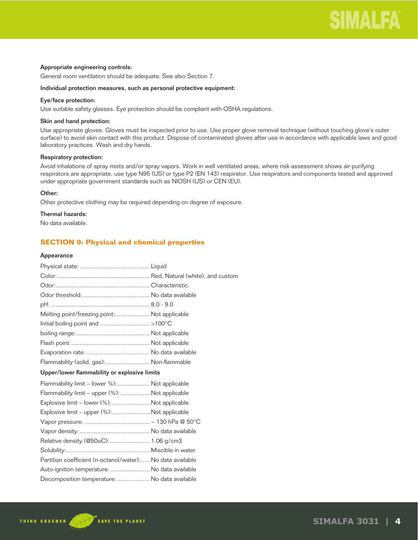## Appropriate engineering controls:

General room ventilation should be adequate. See also Section 7.

#### Individual protection measures, such as personal protective equipment:

## Eye/face protection:

Use suitable safety glasses. Eye protection should be compliant with OSHA regulations.

#### Skin and hand protection:

Use appropriate gloves. Gloves must be inspected prior to use. Use proper glove removal technique (without touching glove's outer surface) to avoid skin contact with this product. Dispose of contaminated gloves after use in accordance with applicable laws and good laboratory practices. Wash and dry hands.

## Respiratory protection:

Avoid inhalations of spray mists and/or spray vapors. Work in well ventilated areas, where risk assessment shows air-purifying respirators are appropriate, use type N95 (US) or type P2 (EN 143) respirator. Use respirators and components tested and approved under appropriate government standards such as NIOSH (US) or CEN (EU).

## Other:

Other protective clothing may be required depending on degree of exposure.

## Thermal hazards:

No data available.

## **SECTION 9: Physical and chemical properties**

#### Appearance

| Melting point/freezing point:  Not applicable               |  |
|-------------------------------------------------------------|--|
|                                                             |  |
|                                                             |  |
|                                                             |  |
|                                                             |  |
| Flammability (solid, gas): Non-flammable                    |  |
| Upper/lower flammability or explosive limits                |  |
| Flammability limit – lower %): Not applicable               |  |
| Flammability limit - upper (%):  Not applicable             |  |
| Explosive limit – lower (%):  Not applicable                |  |
| Explosive limit – upper (%): Not applicable                 |  |
|                                                             |  |
|                                                             |  |
| Relative density (@50oC):  1.06 g/cm3                       |  |
|                                                             |  |
| Partition coefficient (n-octanol/water):  No data available |  |
| Auto-ignition temperature:  No data available               |  |
| Decomposition temperature:  No data available               |  |
|                                                             |  |

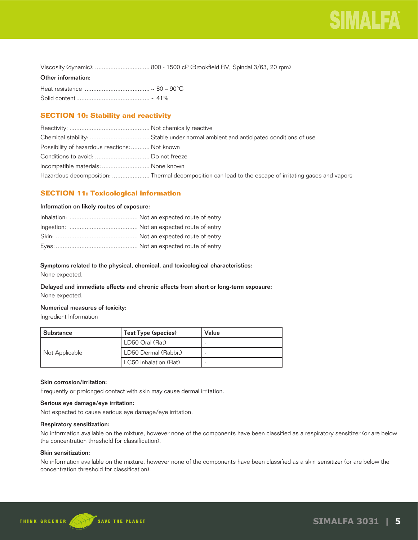

| Viscosity (dynamic):  800 - 1500 cP (Brookfield RV, Spindal 3/63, 20 rpm) |  |
|---------------------------------------------------------------------------|--|
|---------------------------------------------------------------------------|--|

### Other information:

## **SECTION 10: Stability and reactivity**

| Possibility of hazardous reactions:  Not known |                                                                                                      |
|------------------------------------------------|------------------------------------------------------------------------------------------------------|
|                                                |                                                                                                      |
| Incompatible materials:  None known            |                                                                                                      |
|                                                | Hazardous decomposition: Thermal decomposition can lead to the escape of irritating gases and vapors |

## **SECTION 11: Toxicological information**

## Information on likely routes of exposure:

## Symptoms related to the physical, chemical, and toxicological characteristics:

None expected.

## Delayed and immediate effects and chronic effects from short or long-term exposure: None expected.

## Numerical measures of toxicity:

Ingredient Information

| l Substance    | Test Type (species)   | Value |
|----------------|-----------------------|-------|
|                | LD50 Oral (Rat)       |       |
| Not Applicable | LD50 Dermal (Rabbit)  |       |
|                | LC50 Inhalation (Rat) |       |

## Skin corrosion/irritation:

Frequently or prolonged contact with skin may cause dermal irritation.

## Serious eye damage/eye irritation:

Not expected to cause serious eye damage/eye irritation.

## Respiratory sensitization:

No information available on the mixture, however none of the components have been classified as a respiratory sensitizer (or are below the concentration threshold for classification).

## Skin sensitization:

No information available on the mixture, however none of the components have been classified as a skin sensitizer (or are below the concentration threshold for classification).

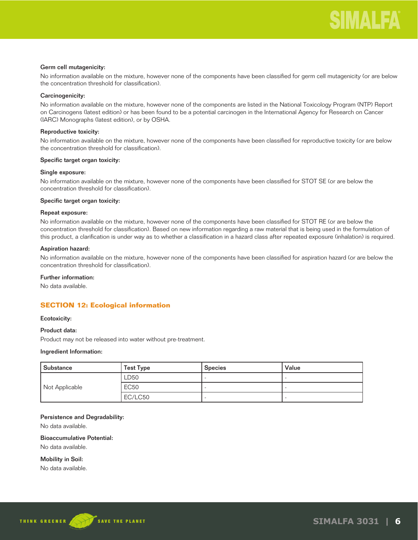## Germ cell mutagenicity:

No information available on the mixture, however none of the components have been classified for germ cell mutagenicity (or are below the concentration threshold for classification).

## Carcinogenicity:

No information available on the mixture, however none of the components are listed in the National Toxicology Program (NTP) Report on Carcinogens (latest edition) or has been found to be a potential carcinogen in the International Agency for Research on Cancer (IARC) Monographs (latest edition), or by OSHA.

## Reproductive toxicity:

No information available on the mixture, however none of the components have been classified for reproductive toxicity (or are below the concentration threshold for classification).

#### Specific target organ toxicity:

#### Single exposure:

No information available on the mixture, however none of the components have been classified for STOT SE (or are below the concentration threshold for classification).

#### Specific target organ toxicity:

## Repeat exposure:

No information available on the mixture, however none of the components have been classified for STOT RE (or are below the concentration threshold for classification). Based on new information regarding a raw material that is being used in the formulation of this product, a clarification is under way as to whether a classification in a hazard class after repeated exposure (inhalation) is required.

## Aspiration hazard:

No information available on the mixture, however none of the components have been classified for aspiration hazard (or are below the concentration threshold for classification).

## Further information:

No data available.

## **SECTION 12: Ecological information**

#### Ecotoxicity:

### Product data:

Product may not be released into water without pre-treatment.

#### Ingredient Information:

| Substance      | <b>Test Type</b> | <b>Species</b> | Value |
|----------------|------------------|----------------|-------|
|                | LD50             |                |       |
| Not Applicable | <b>EC50</b>      |                |       |
|                | EC/LC50          |                |       |

#### Persistence and Degradability:

No data available.

## Bioaccumulative Potential:

No data available.

Mobility in Soil:

No data available.

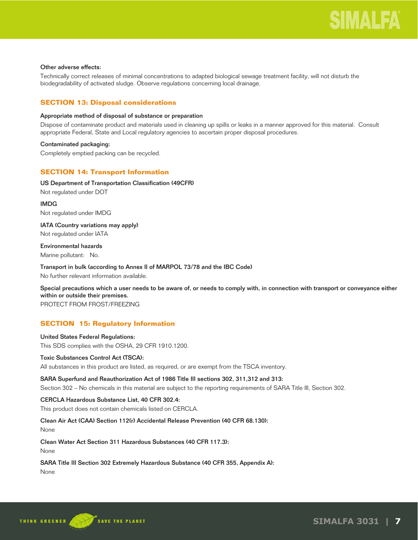## Other adverse effects:

Technically correct releases of minimal concentrations to adapted biological sewage treatment facility, will not disturb the biodegradability of activated sludge. Observe regulations concerning local drainage.

## **SECTION 13: Disposal considerations**

## Appropriate method of disposal of substance or preparation

Dispose of contaminate product and materials used in cleaning up spills or leaks in a manner approved for this material. Consult appropriate Federal, State and Local regulatory agencies to ascertain proper disposal procedures.

## Contaminated packaging:

Completely emptied packing can be recycled.

## **SECTION 14: Transport Information**

## US Department of Transportation Classification (49CFR)

Not regulated under DOT

IMDG Not regulated under IMDG

IATA (Country variations may apply) Not regulated under IATA

Environmental hazards Marine pollutant: No.

Transport in bulk (according to Annex II of MARPOL 73/78 and the IBC Code) No further relevant information available.

Special precautions which a user needs to be aware of, or needs to comply with, in connection with transport or conveyance either within or outside their premises.

PROTECT FROM FROST/FREEZING

## **SECTION 15: Regulatory Information**

## United States Federal Regulations: This SDS complies with the OSHA, 29 CFR 1910.1200.

## Toxic Substances Control Act (TSCA):

All substances in this product are listed, as required, or are exempt from the TSCA inventory.

## SARA Superfund and Reauthorization Act of 1986 Title III sections 302, 311,312 and 313:

Section 302 – No chemicals in this material are subject to the reporting requirements of SARA Title III, Section 302.

## CERCLA Hazardous Substance List, 40 CFR 302.4:

This product does not contain chemicals listed on CERCLA.

## Clean Air Act (CAA) Section 112(r) Accidental Release Prevention (40 CFR 68.130):

None

Clean Water Act Section 311 Hazardous Substances (40 CFR 117.3):

None

## SARA Title III Section 302 Extremely Hazardous Substance (40 CFR 355, Appendix A):

None

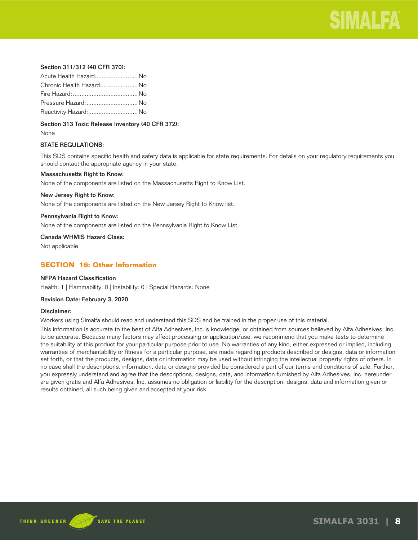

## Section 311/312 (40 CFR 370):

| Acute Health Hazard: No   |  |
|---------------------------|--|
| Chronic Health Hazard: No |  |
|                           |  |
| Pressure Hazard:  No      |  |
| Reactivity Hazard: No     |  |

Section 313 Toxic Release Inventory (40 CFR 372):

None

## STATE REGULATIONS:

This SDS contains specific health and safety data is applicable for state requirements. For details on your regulatory requirements you should contact the appropriate agency in your state.

#### Massachusetts Right to Know:

None of the components are listed on the Massachusetts Right to Know List.

#### New Jersey Right to Know:

None of the components are listed on the New Jersey Right to Know list.

#### Pennsylvania Right to Know:

None of the components are listed on the Pennsylvania Right to Know List.

Canada WHMIS Hazard Class:

Not applicable

## **SECTION 16: Other Information**

## NFPA Hazard Classification

Health: 1 | Flammability: 0 | Instability: 0 | Special Hazards: None

#### Revision Date: February 3, 2020

#### Disclaimer:

Workers using Simalfa should read and understand this SDS and be trained in the proper use of this material.

This information is accurate to the best of Alfa Adhesives, Inc.'s knowledge, or obtained from sources believed by Alfa Adhesives, Inc. to be accurate. Because many factors may affect processing or application/use, we recommend that you make tests to determine the suitability of this product for your particular purpose prior to use. No warranties of any kind, either expressed or implied, including warranties of merchantability or fitness for a particular purpose, are made regarding products described or designs, data or information set forth, or that the products, designs, data or information may be used without infringing the intellectual property rights of others. In no case shall the descriptions, information, data or designs provided be considered a part of our terms and conditions of sale. Further, you expressly understand and agree that the descriptions, designs, data, and information furnished by Alfa Adhesives, Inc. hereunder are given gratis and Alfa Adhesives, Inc. assumes no obligation or liability for the description, designs, data and information given or results obtained, all such being given and accepted at your risk.

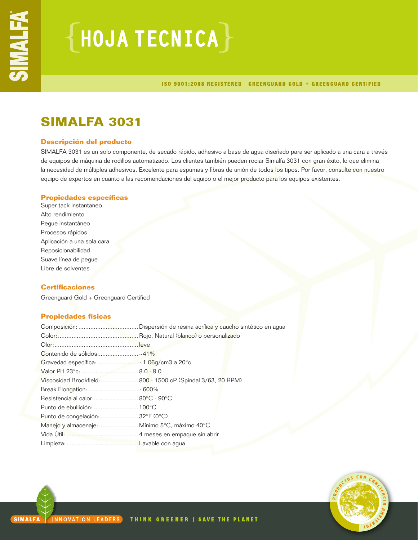# $\{$  HOJA TECNICA $\}$

ISO 9001:2008 REGISTERED | GREENGUARD GOLD + GREENGUARD CERTIFIED

## **SIMALFA 3031**

## **Descripción del producto**

SIMALFA 3031 es un solo componente, de secado rápido, adhesivo a base de agua diseñado para ser aplicado a una cara a través de equipos de máquina de rodillos automatizado. Los clientes también pueden rociar Simalfa 3031 con gran éxito, lo que elimina la necesidad de múltiples adhesivos. Excelente para espumas y fibras de unión de todos los tipos. Por favor, consulte con nuestro equipo de expertos en cuanto a las recomendaciones del equipo o el mejor producto para los equipos existentes.

## **Propiedades específicas**

Super tack instantaneo Alto rendimiento Pegue instantáneo Procesos rápidos Aplicación a una sola cara Reposicionabilidad Suave línea de pegue Libre de solventes

## **Certificaciones**

Greenguard Gold + Greenguard Certified

## **Propiedades físicas**

| Contenido de sólidos:~41%                     |                                                              |
|-----------------------------------------------|--------------------------------------------------------------|
|                                               |                                                              |
|                                               |                                                              |
|                                               | Viscosidad Brookfield:  800 - 1500 cP (Spindal 3/63, 20 RPM) |
|                                               |                                                              |
| Resistencia al calor: 80°C - 90°C             |                                                              |
|                                               |                                                              |
| Punto de congelación:  32°F (0°C)             |                                                              |
| Manejo y almacenaje:  Mínimo 5°C, máximo 40°C |                                                              |
|                                               |                                                              |
|                                               |                                                              |
|                                               |                                                              |

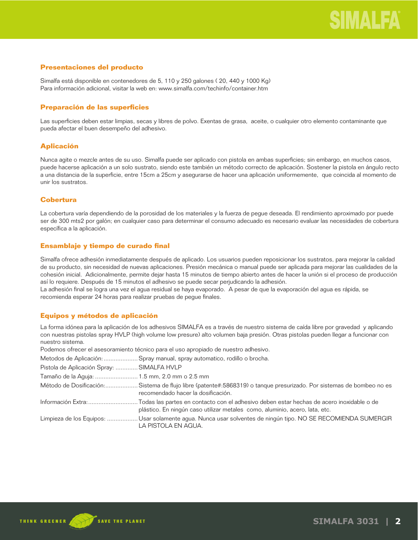## **Presentaciones del producto**

Simalfa está disponible en contenedores de 5, 110 y 250 galones ( 20, 440 y 1000 Kg) Para información adicional, visitar la web en: www.simalfa.com/techinfo/container.htm

## **Preparación de las superficies**

Las superficies deben estar limpias, secas y libres de polvo. Exentas de grasa, aceite, o cualquier otro elemento contaminante que pueda afectar el buen desempeño del adhesivo.

## **Aplicación**

Nunca agite o mezcle antes de su uso. Simalfa puede ser aplicado con pistola en ambas superficies; sin embargo, en muchos casos, puede hacerse aplicación a un solo sustrato, siendo este también un método correcto de aplicación. Sostener la pistola en ángulo recto a una distancia de la superficie, entre 15cm a 25cm y asegurarse de hacer una aplicación uniformemente, que coincida al momento de unir los sustratos.

## **Cobertura**

La cobertura varía dependiendo de la porosidad de los materiales y la fuerza de pegue deseada. El rendimiento aproximado por puede ser de 300 mts2 por galón; en cualquier caso para determinar el consumo adecuado es necesario evaluar las necesidades de cobertura específica a la aplicación.

## **Ensamblaje y tiempo de curado final**

Simalfa ofrece adhesión inmediatamente después de aplicado. Los usuarios pueden reposicionar los sustratos, para mejorar la calidad de su producto, sin necesidad de nuevas aplicaciones. Presión mecánica o manual puede ser aplicada para mejorar las cualidades de la cohesión inicial. Adicionalmente, permite dejar hasta 15 minutos de tiempo abierto antes de hacer la unión si el proceso de producción así lo requiere. Después de 15 minutos el adhesivo se puede secar perjudicando la adhesión.

La adhesión final se logra una vez el agua residual se haya evaporado. A pesar de que la evaporación del agua es rápida, se recomienda esperar 24 horas para realizar pruebas de pegue finales.

## **Equipos y métodos de aplicación**

La forma idónea para la aplicación de los adhesivos SIMALFA es a través de nuestro sistema de caída libre por gravedad y aplicando con nuestras pistolas spray HVLP (high volume low presure) alto volumen baja presión. Otras pistolas pueden llegar a funcionar con nuestro sistema.

Podemos ofrecer el asesoramiento técnico para el uso apropiado de nuestro adhesivo.

Metodos de Aplicación: ....................Spray manual, spray automatico, rodillo o brocha.

| Pistola de Aplicación Spray:  SIMALFA HVLP   |                                                                                                                                                                                           |
|----------------------------------------------|-------------------------------------------------------------------------------------------------------------------------------------------------------------------------------------------|
| Tamaño de la Aguja:  1.5 mm, 2.0 mm o 2.5 mm |                                                                                                                                                                                           |
|                                              | Método de Dosificación:Sistema de flujo libre (patente#:5868319) o tanque presurizado. Por sistemas de bombeo no es<br>recomendado hacer la dosificación.                                 |
|                                              | Información Extra:Todas las partes en contacto con el adhesivo deben estar hechas de acero inoxidable o de<br>plástico. En ningún caso utilizar metales como, aluminio, acero, lata, etc. |
|                                              | Limpieza de los Equipos: Usar solamente agua. Nunca usar solventes de ningún tipo. NO SE RECOMIENDA SUMERGIR<br>LA PISTOLA EN AGUA.                                                       |

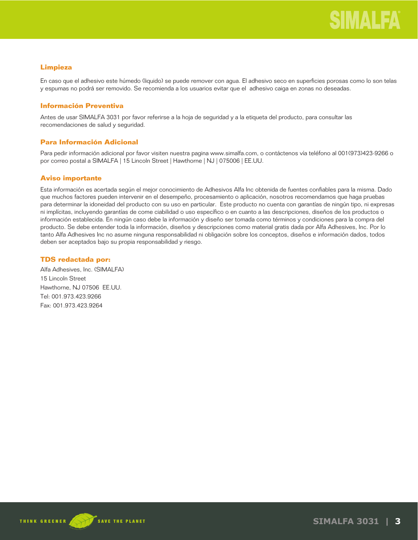## **Limpieza**

En caso que el adhesivo este húmedo (liquido) se puede remover con agua. El adhesivo seco en superficies porosas como lo son telas y espumas no podrá ser removido. Se recomienda a los usuarios evitar que el adhesivo caiga en zonas no deseadas.

## **Información Preventiva**

Antes de usar SIMALFA 3031 por favor referirse a la hoja de seguridad y a la etiqueta del producto, para consultar las recomendaciones de salud y seguridad.

## **Para Información Adicional**

Para pedir información adicional por favor visiten nuestra pagina www.simalfa.com, o contáctenos vía teléfono al 001(973)423-9266 o por correo postal a SIMALFA | 15 Lincoln Street | Hawthorne | NJ | 075006 | EE.UU.

## **Aviso importante**

Esta información es acertada según el mejor conocimiento de Adhesivos Alfa Inc obtenida de fuentes confiables para la misma. Dado que muchos factores pueden intervenir en el desempeño, procesamiento o aplicación, nosotros recomendamos que haga pruebas para determinar la idoneidad del producto con su uso en particular. Este producto no cuenta con garantías de ningún tipo, ni expresas ni implícitas, incluyendo garantías de come ciabilidad o uso específico o en cuanto a las descripciones, diseños de los productos o información establecida. En ningún caso debe la información y diseño ser tomada como términos y condiciones para la compra del producto. Se debe entender toda la información, diseños y descripciones como material gratis dada por Alfa Adhesives, Inc. Por lo tanto Alfa Adhesives Inc no asume ninguna responsabilidad ni obligación sobre los conceptos, diseños e información dados, todos deben ser aceptados bajo su propia responsabilidad y riesgo.

## **TDS redactada por:**

Alfa Adhesives, Inc. (SIMALFA) 15 Lincoln Street Hawthorne, NJ 07506 EE.UU. Tel: 001.973.423.9266 Fax: 001.973.423.9264

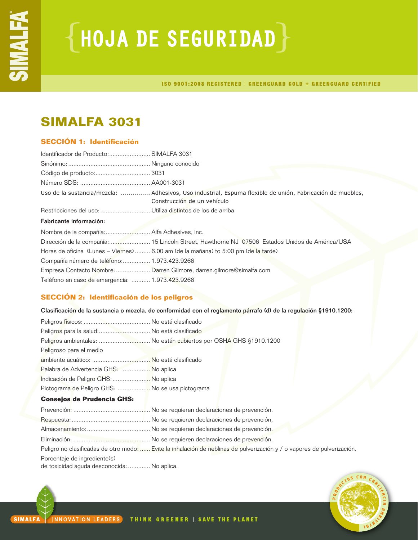# ${HoudA DE SEGURIDAD}$

ISO 9001:2008 REGISTERED | GREENGUARD GOLD + GREENGUARD CERTIFIED

## **SIMALFA 3031**

## **SECCIÓN 1: Identificación**

| Identificador de Producto: SIMALFA 3031         |                                                                                                                                          |
|-------------------------------------------------|------------------------------------------------------------------------------------------------------------------------------------------|
|                                                 |                                                                                                                                          |
|                                                 |                                                                                                                                          |
|                                                 |                                                                                                                                          |
|                                                 | Uso de la sustancia/mezcla:  Adhesivos, Uso industrial, Espuma flexible de unión, Fabricación de muebles,<br>Construcción de un vehículo |
|                                                 |                                                                                                                                          |
| Fabricante información:                         |                                                                                                                                          |
|                                                 |                                                                                                                                          |
|                                                 | Dirección de la compañía: 15 Lincoln Street, Hawthorne NJ 07506 Estados Unidos de América/USA                                            |
|                                                 | Horas de oficina (Lunes – Viernes)  6.00 am (de la mañana) to 5:00 pm (de la tarde)                                                      |
| Compañía número de teléfono: 1.973.423.9266     |                                                                                                                                          |
|                                                 | Empresa Contacto Nombre:  Darren Gilmore, darren.gilmore@simalfa.com                                                                     |
| Teléfono en caso de emergencia:  1.973.423.9266 |                                                                                                                                          |

## **SECCIÓN 2: Identificación de los peligros**

Clasificación de la sustancia o mezcla, de conformidad con el reglamento párrafo (d) de la regulación §1910.1200:

| Peligros para la salud:  No está clasificado     |                                                                   |  |
|--------------------------------------------------|-------------------------------------------------------------------|--|
|                                                  | Peligros ambientales:  No están cubiertos por OSHA GHS §1910.1200 |  |
| Peligroso para el medio                          |                                                                   |  |
|                                                  |                                                                   |  |
| Palabra de Advertencia GHS:  No aplica           |                                                                   |  |
| Indicación de Peligro GHS:  No aplica            |                                                                   |  |
| Pictograma de Peligro GHS:  No se usa pictograma |                                                                   |  |
| <b>Consejos de Prudencia GHS:</b>                |                                                                   |  |
|                                                  |                                                                   |  |
|                                                  |                                                                   |  |
|                                                  |                                                                   |  |
|                                                  |                                                                   |  |

Peligro no clasificadas de otro modo: ...... Evite la inhalación de neblinas de pulverización y / o vapores de pulverización.

Porcentaje de ingrediente(s)

de toxicidad aguda desconocida:............. No aplica.

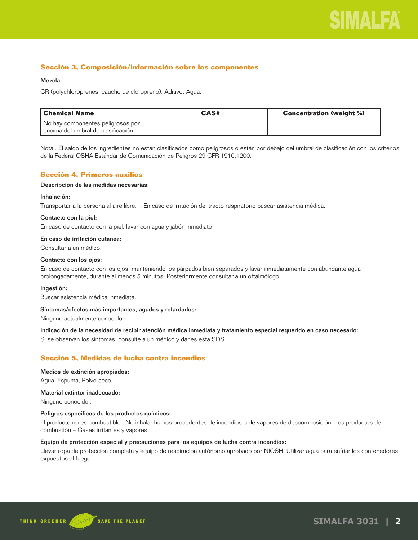

## **Sección 3, Composición/información sobre los componentes**

### Mezcla:

CR (polychloroprenes, caucho de cloropreno). Aditivo. Agua.

| l Chemical Name                        | CAS# | <b>Concentration (weight %)</b> |
|----------------------------------------|------|---------------------------------|
| No hay componentes peligrosos por      |      |                                 |
| l encima del umbral de clasificación l |      |                                 |

Nota : El saldo de los ingredientes no están clasificados como peligrosos o están por debajo del umbral de clasificación con los criterios de la Federal OSHA Estándar de Comunicación de Peligros 29 CFR 1910.1200.

## **Sección 4, Primeros auxilios**

#### Descripción de las medidas necesarias:

#### Inhalación:

Transportar a la persona al aire libre. . En caso de irritación del tracto respiratorio buscar asistencia médica.

#### Contacto con la piel:

En caso de contacto con la piel, lavar con agua y jabón inmediato.

## En caso de irritación cutánea:

Consultar a un médico.

## Contacto con los ojos:

En caso de contacto con los ojos, manteniendo los párpados bien separados y lavar inmediatamente con abundante agua prolongadamente, durante al menos 5 minutos. Posteriormente consultar a un oftalmólogo

#### Ingestión:

Buscar asistencia médica inmediata.

#### Síntomas/efectos más importantes, agudos y retardados:

Ninguno actualmente conocido.

Indicación de la necesidad de recibir atención médica inmediata y tratamiento especial requerido en caso necesario:

Si se observan los síntomas, consulte a un médico y darles esta SDS.

## **Sección 5, Medidas de lucha contra incendios**

#### Medios de extinción apropiados:

Agua, Espuma, Polvo seco.

## Material extintor inadecuado:

Ninguno conocido .

#### Peligros específicos de los productos químicos:

El producto no es combustible. No inhalar humos procedentes de incendios o de vapores de descomposición. Los productos de combustión – Gases irritantes y vapores.

## Equipo de protección especial y precauciones para los equipos de lucha contra incendios:

Llevar ropa de protección completa y equipo de respiración autónomo aprobado por NIOSH. Utilizar agua para enfriar los contenedores expuestos al fuego.

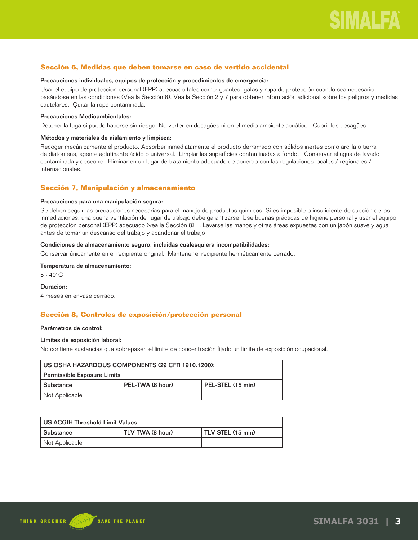## **Sección 6, Medidas que deben tomarse en caso de vertido accidental**

#### Precauciones individuales, equipos de protección y procedimientos de emergencia:

Usar el equipo de protección personal (EPP) adecuado tales como: guantes, gafas y ropa de protección cuando sea necesario basándose en las condiciones (Vea la Sección 8). Vea la Sección 2 y 7 para obtener información adicional sobre los peligros y medidas cautelares. Quitar la ropa contaminada.

#### Precauciones Medioambientales:

Detener la fuga si puede hacerse sin riesgo. No verter en desagües ni en el medio ambiente acuático. Cubrir los desagües.

#### Métodos y materiales de aislamiento y limpieza:

Recoger mecánicamente el producto. Absorber inmediatamente el producto derramado con sólidos inertes como arcilla o tierra de diatomeas, agente aglutinante ácido o universal. Limpiar las superficies contaminadas a fondo. Conservar el agua de lavado contaminada y deseche. Eliminar en un lugar de tratamiento adecuado de acuerdo con las regulaciones locales / regionales / internacionales.

## **Sección 7, Manipulación y almacenamiento**

#### Precauciones para una manipulación segura:

Se deben seguir las precauciones necesarias para el manejo de productos químicos. Si es imposible o insuficiente de succión de las inmediaciones, una buena ventilación del lugar de trabajo debe garantizarse. Use buenas prácticas de higiene personal y usar el equipo de protección personal (EPP) adecuado (vea la Sección 8). . Lavarse las manos y otras áreas expuestas con un jabón suave y agua antes de tomar un descanso del trabajo y abandonar el trabajo

## Condiciones de almacenamiento seguro, incluidas cualesquiera incompatibilidades:

Conservar únicamente en el recipiente original. Mantener el recipiente herméticamente cerrado.

## Temperatura de almacenamiento:

5 - 40°C

#### Duracion:

4 meses en envase cerrado.

## **Sección 8, Controles de exposición/protección personal**

#### Parámetros de control:

#### Límites de exposición laboral:

No contiene sustancias que sobrepasen el límite de concentración fijado un límite de exposición ocupacional.

| US OSHA HAZARDOUS COMPONENTS (29 CFR 1910.1200):            |  |  |
|-------------------------------------------------------------|--|--|
| Permissible Exposure Limits                                 |  |  |
| PEL-TWA (8 hour)<br>l PEL-STEL (15 min)<br><b>Substance</b> |  |  |
| Not Applicable                                              |  |  |

| US ACGIH Threshold Limit Values |                  |                   |
|---------------------------------|------------------|-------------------|
| l Substance                     | TLV-TWA (8 hour) | TLV-STEL (15 min) |
| Not Applicable                  |                  |                   |

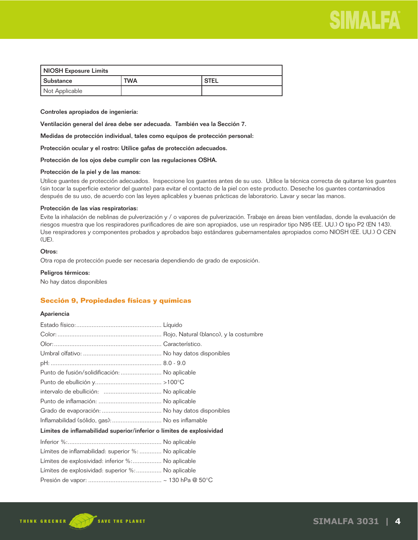

| NIOSH Exposure Limits |            |             |
|-----------------------|------------|-------------|
| Substance             | <b>TWA</b> | <b>STEL</b> |
| Not Applicable        |            |             |

Controles apropiados de ingeniería:

Ventilación general del área debe ser adecuada. También vea la Sección 7.

Medidas de protección individual, tales como equipos de protección personal:

Protección ocular y el rostro: Utilice gafas de protección adecuados.

Protección de los ojos debe cumplir con las regulaciones OSHA.

#### Protección de la piel y de las manos:

Utilice guantes de protección adecuados. Inspeccione los guantes antes de su uso. Utilice la técnica correcta de quitarse los guantes (sin tocar la superficie exterior del guante) para evitar el contacto de la piel con este producto. Deseche los guantes contaminados después de su uso, de acuerdo con las leyes aplicables y buenas prácticas de laboratorio. Lavar y secar las manos.

#### Protección de las vías respiratorias:

Evite la inhalación de neblinas de pulverización y / o vapores de pulverización. Trabaje en áreas bien ventiladas, donde la evaluación de riesgos muestra que los respiradores purificadores de aire son apropiados, use un respirador tipo N95 (EE. UU.) O tipo P2 (EN 143). Use respiradores y componentes probados y aprobados bajo estándares gubernamentales apropiados como NIOSH (EE. UU.) O CEN (UE).

## Otros:

Otra ropa de protección puede ser necesaria dependiendo de grado de exposición.

#### Peligros térmicos:

No hay datos disponibles

## **Sección 9, Propiedades físicas y químicas**

## Apariencia

| Punto de fusión/solidificación:  No aplicable                         |  |
|-----------------------------------------------------------------------|--|
|                                                                       |  |
|                                                                       |  |
|                                                                       |  |
|                                                                       |  |
| Inflamabilidad (sólido, gas):  No es inflamable                       |  |
| Límites de inflamabilidad superior/inferior o límites de explosividad |  |
|                                                                       |  |
| Límites de inflamabilidad: superior %:  No aplicable                  |  |
| Límites de explosividad: inferior %: No aplicable                     |  |
| Límites de explosividad: superior %: No aplicable                     |  |
|                                                                       |  |

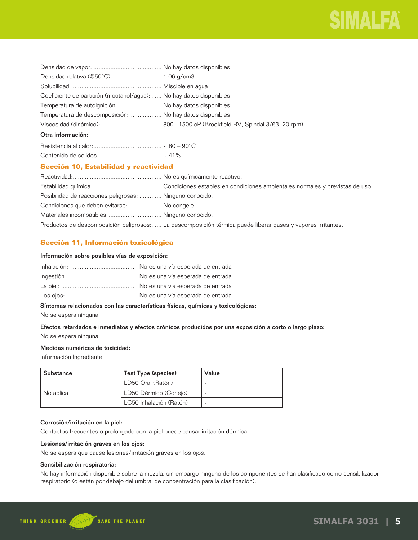

| Coeficiente de partición (n-octanol/agua):  No hay datos disponibles |  |
|----------------------------------------------------------------------|--|
| Temperatura de autoignición: No hay datos disponibles                |  |
| Temperatura de descomposición:  No hay datos disponibles             |  |
|                                                                      |  |
| Otra información:                                                    |  |
|                                                                      |  |

## **Sección 10, Estabilidad y reactividad**

| Posibilidad de reacciones peligrosas:  Ninguno conocido. |                                                                                                             |
|----------------------------------------------------------|-------------------------------------------------------------------------------------------------------------|
| Condiciones que deben evitarse: No congele.              |                                                                                                             |
| Materiales incompatibles:  Ninguno conocido.             |                                                                                                             |
|                                                          | Productos de descomposición peligrosos: La descomposición térmica puede liberar gases y vapores irritantes. |

## **Sección 11, Información toxicológica**

## Información sobre posibles vías de exposición:

## Síntomas relacionados con las características físicas, químicas y toxicológicas:

No se espera ninguna.

## Efectos retardados e inmediatos y efectos crónicos producidos por una exposición a corto o largo plazo: No se espera ninguna.

## Medidas numéricas de toxicidad:

Información Ingrediente:

| l Substance | Test Type (species)     | Value |
|-------------|-------------------------|-------|
| No aplica   | LD50 Oral (Ratón)       |       |
|             | LD50 Dérmico (Conejo)   |       |
|             | LC50 Inhalación (Ratón) |       |

## Corrosión/irritación en la piel:

Contactos frecuentes o prolongado con la piel puede causar irritación dérmica.

## Lesiones/irritación graves en los ojos:

No se espera que cause lesiones/irritación graves en los ojos.

## Sensibilización respiratoria:

No hay información disponible sobre la mezcla, sin embargo ninguno de los componentes se han clasificado como sensibilizador respiratorio (o están por debajo del umbral de concentración para la clasificación).

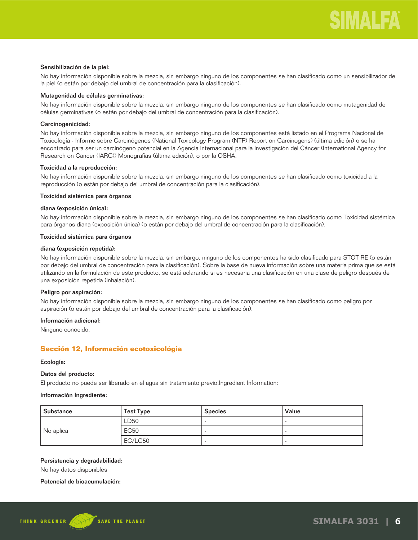#### Sensibilización de la piel:

No hay información disponible sobre la mezcla, sin embargo ninguno de los componentes se han clasificado como un sensibilizador de la piel (o están por debajo del umbral de concentración para la clasificación).

## Mutagenidad de células germinativas:

No hay información disponible sobre la mezcla, sin embargo ninguno de los componentes se han clasificado como mutagenidad de células germinativas (o están por debajo del umbral de concentración para la clasificación).

## Carcinogenicidad:

No hay información disponible sobre la mezcla, sin embargo ninguno de los componentes está listado en el Programa Nacional de Toxicología - Informe sobre Carcinógenos (National Toxicology Program (NTP) Report on Carcinogens) (última edición) o se ha encontrado para ser un carcinógeno potencial en la Agencia Internacional para la Investigación del Cáncer (International Agency for Research on Cancer (IARC)) Monografías (última edición), o por la OSHA.

## Toxicidad a la reproducción:

No hay información disponible sobre la mezcla, sin embargo ninguno de los componentes se han clasificado como toxicidad a la reproducción (o están por debajo del umbral de concentración para la clasificación).

## Toxicidad sistémica para órganos

## diana (exposición única):

No hay información disponible sobre la mezcla, sin embargo ninguno de los componentes se han clasificado como Toxicidad sistémica para órganos diana (exposición única) (o están por debajo del umbral de concentración para la clasificación).

### Toxicidad sistémica para órganos

#### diana (exposición repetida):

No hay información disponible sobre la mezcla, sin embargo, ninguno de los componentes ha sido clasificado para STOT RE (o están por debajo del umbral de concentración para la clasificación). Sobre la base de nueva información sobre una materia prima que se está utilizando en la formulación de este producto, se está aclarando si es necesaria una clasificación en una clase de peligro después de una exposición repetida (inhalación).

#### Peligro por aspiración:

No hay información disponible sobre la mezcla, sin embargo ninguno de los componentes se han clasificado como peligro por aspiración (o están por debajo del umbral de concentración para la clasificación).

## Información adicional:

Ninguno conocido.

## **Sección 12, Información ecotoxicológia**

#### Ecología:

## Datos del producto:

El producto no puede ser liberado en el agua sin tratamiento previo.Ingredient Information:

#### Información Ingrediente:

| Substance | <b>Test Type</b> | <b>Species</b> | Value |
|-----------|------------------|----------------|-------|
| No aplica | LD50             |                |       |
|           | <b>EC50</b>      |                |       |
|           | EC/LC50          |                |       |

## Persistencia y degradabilidad:

No hay datos disponibles

#### Potencial de bioacumulación:

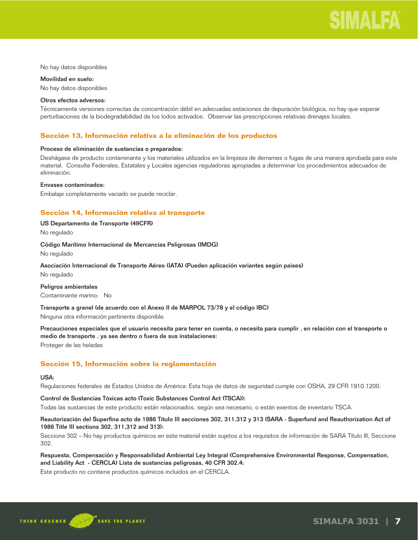

No hay datos disponibles

Movilidad en suelo: No hay datos disponibles

#### Otros efectos adversos:

Técnicamente versiones correctas de concentración débil en adecuadas estaciones de depuración biológica, no hay que esperar perturbaciones de la biodegradabilidad de los lodos activados. Observar las prescripciones relativas drenajes locales.

## **Sección 13, Información relativa a la eliminación de los productos**

### Proceso de eliminación de sustancias o preparados:

Deshágase de producto contaminante y los materiales utilizados en la limpieza de derrames o fugas de una manera aprobada para este material. Consulte Federales, Estatales y Locales agencias reguladoras apropiadas a determinar los procedimientos adecuados de eliminación.

#### Envases contaminados:

Embalaje completamente vaciado se puede reciclar.

## **Sección 14, Información relativa al transporte**

## US Departamento de Transporte (49CFR)

No regulado

#### Código Marítimo Internacional de Mercancías Peligrosas (IMDG)

No regulado

## Asociación Internacional de Transporte Aéreo (IATA) (Pueden aplicación variantes según países)

No regulado

#### Peligros ambientales

Contaminante marino: No

Transporte a granel (de acuerdo con el Anexo II de MARPOL 73/78 y el código IBC)

Ninguna otra información pertinente disponible.

Precauciones especiales que el usuario necesita para tener en cuenta, o necesita para cumplir , en relación con el transporte o medio de transporte , ya sea dentro o fuera de sus instalaciones: Proteger de las heladas

## **Sección 15, Información sobre la reglamentación**

#### USA:

Regulaciones federales de Estados Unidos de América: Esta hoja de datos de seguridad cumple con OSHA, 29 CFR 1910.1200.

## Control de Sustancias Tóxicas acto (Toxic Substances Control Act (TSCA)):

Todas las sustancias de este producto están relacionados, según sea necesario, o están exentos de inventario TSCA.

## Reautorización del Superfina acto de 1986 Título III secciones 302, 311,312 y 313 (SARA - Superfund and Reauthorization Act of 1986 Title III sections 302, 311,312 and 313):

Seccione 302 – No hay productos químicos en este material están sujetos a los requisitos de información de SARA Título III, Seccione 302.

## Respuesta, Compensación y Responsabilidad Ambiental Ley Integral (Comprehensive Environmental Response, Compensation, and Liability Act - CERCLA) Lista de sustancias peligrosas, 40 CFR 302.4:

Este producto no contiene productos químicos incluidos en el CERCLA.